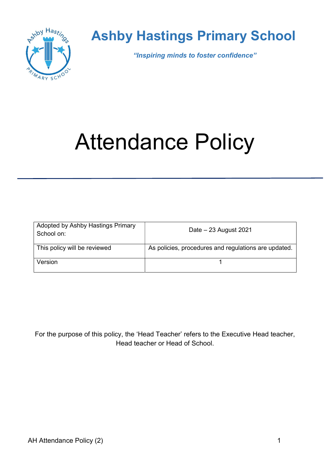

## Ashby Hastings Primary School

"Inspiring minds to foster confidence"

# Attendance Policy

| Adopted by Ashby Hastings Primary<br>School on: | Date $-23$ August 2021                               |
|-------------------------------------------------|------------------------------------------------------|
| This policy will be reviewed                    | As policies, procedures and regulations are updated. |
| Version                                         |                                                      |

For the purpose of this policy, the 'Head Teacher' refers to the Executive Head teacher, Head teacher or Head of School.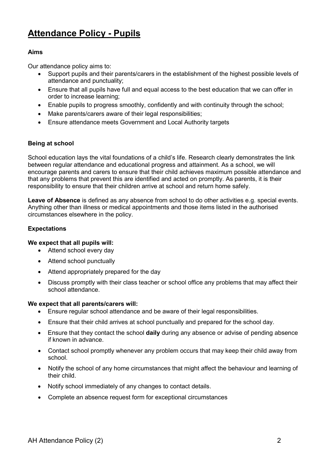## Attendance Policy - Pupils

#### Aims

Our attendance policy aims to:

- Support pupils and their parents/carers in the establishment of the highest possible levels of attendance and punctuality;
- Ensure that all pupils have full and equal access to the best education that we can offer in order to increase learning;
- Enable pupils to progress smoothly, confidently and with continuity through the school;
- Make parents/carers aware of their legal responsibilities;
- Ensure attendance meets Government and Local Authority targets

#### Being at school

School education lays the vital foundations of a child's life. Research clearly demonstrates the link between regular attendance and educational progress and attainment. As a school, we will encourage parents and carers to ensure that their child achieves maximum possible attendance and that any problems that prevent this are identified and acted on promptly. As parents, it is their responsibility to ensure that their children arrive at school and return home safely.

Leave of Absence is defined as any absence from school to do other activities e.g. special events. Anything other than illness or medical appointments and those items listed in the authorised circumstances elsewhere in the policy.

#### Expectations

#### We expect that all pupils will:

- Attend school every day
- Attend school punctually
- Attend appropriately prepared for the day
- Discuss promptly with their class teacher or school office any problems that may affect their school attendance.

#### We expect that all parents/carers will:

- Ensure regular school attendance and be aware of their legal responsibilities.
- Ensure that their child arrives at school punctually and prepared for the school day.
- Ensure that they contact the school daily during any absence or advise of pending absence if known in advance.
- Contact school promptly whenever any problem occurs that may keep their child away from school.
- Notify the school of any home circumstances that might affect the behaviour and learning of their child.
- Notify school immediately of any changes to contact details.
- Complete an absence request form for exceptional circumstances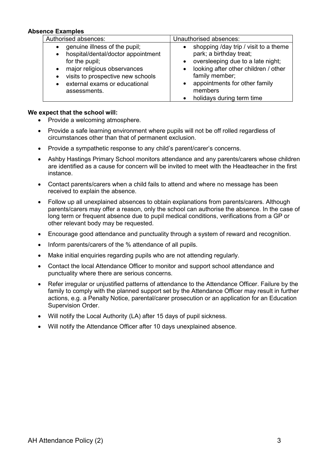#### Absence Examples

| Authorised absences:               | Unauthorised absences:                |
|------------------------------------|---------------------------------------|
| genuine illness of the pupil;      | shopping /day trip / visit to a theme |
| hospital/dental/doctor appointment | park; a birthday treat;               |
| $\bullet$                          | oversleeping due to a late night;     |
| for the pupil;                     | looking after other children / other  |
| major religious observances        | family member;                        |
| visits to prospective new schools  | appointments for other family         |
| external exams or educational      | members                               |
| assessments.                       | holidays during term time             |

#### We expect that the school will:

- Provide a welcoming atmosphere.
- Provide a safe learning environment where pupils will not be off rolled regardless of circumstances other than that of permanent exclusion.
- Provide a sympathetic response to any child's parent/carer's concerns.
- Ashby Hastings Primary School monitors attendance and any parents/carers whose children are identified as a cause for concern will be invited to meet with the Headteacher in the first instance.
- Contact parents/carers when a child fails to attend and where no message has been received to explain the absence.
- Follow up all unexplained absences to obtain explanations from parents/carers. Although parents/carers may offer a reason, only the school can authorise the absence. In the case of long term or frequent absence due to pupil medical conditions, verifications from a GP or other relevant body may be requested.
- Encourage good attendance and punctuality through a system of reward and recognition.
- Inform parents/carers of the % attendance of all pupils.
- Make initial enquiries regarding pupils who are not attending regularly.
- Contact the local Attendance Officer to monitor and support school attendance and punctuality where there are serious concerns.
- Refer irregular or unjustified patterns of attendance to the Attendance Officer. Failure by the family to comply with the planned support set by the Attendance Officer may result in further actions, e.g. a Penalty Notice, parental/carer prosecution or an application for an Education Supervision Order.
- Will notify the Local Authority (LA) after 15 days of pupil sickness.
- Will notify the Attendance Officer after 10 days unexplained absence.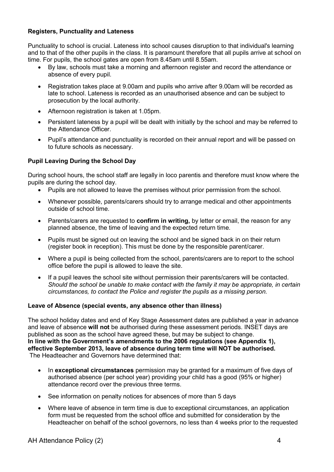#### Registers, Punctuality and Lateness

Punctuality to school is crucial. Lateness into school causes disruption to that individual's learning and to that of the other pupils in the class. It is paramount therefore that all pupils arrive at school on time. For pupils, the school gates are open from 8.45am until 8.55am.

- By law, schools must take a morning and afternoon register and record the attendance or absence of every pupil.
- Registration takes place at 9.00am and pupils who arrive after 9.00am will be recorded as late to school. Lateness is recorded as an unauthorised absence and can be subject to prosecution by the local authority.
- Afternoon registration is taken at 1.05pm.
- Persistent lateness by a pupil will be dealt with initially by the school and may be referred to the Attendance Officer.
- Pupil's attendance and punctuality is recorded on their annual report and will be passed on to future schools as necessary.

#### Pupil Leaving During the School Day

During school hours, the school staff are legally in loco parentis and therefore must know where the pupils are during the school day.

- Pupils are not allowed to leave the premises without prior permission from the school.
- Whenever possible, parents/carers should try to arrange medical and other appointments outside of school time.
- Parents/carers are requested to **confirm in writing**, by letter or email, the reason for any planned absence, the time of leaving and the expected return time.
- Pupils must be signed out on leaving the school and be signed back in on their return (register book in reception). This must be done by the responsible parent/carer.
- Where a pupil is being collected from the school, parents/carers are to report to the school office before the pupil is allowed to leave the site.
- If a pupil leaves the school site without permission their parents/carers will be contacted. Should the school be unable to make contact with the family it may be appropriate, in certain circumstances, to contact the Police and register the pupils as a missing person.

#### Leave of Absence (special events, any absence other than illness)

The school holiday dates and end of Key Stage Assessment dates are published a year in advance and leave of absence will not be authorised during these assessment periods. INSET days are published as soon as the school have agreed these, but may be subject to change. In line with the Government's amendments to the 2006 regulations (see Appendix 1), effective September 2013, leave of absence during term time will NOT be authorised. The Headteacher and Governors have determined that:

- In exceptional circumstances permission may be granted for a maximum of five days of authorised absence (per school year) providing your child has a good (95% or higher) attendance record over the previous three terms.
- See information on penalty notices for absences of more than 5 days
- Where leave of absence in term time is due to exceptional circumstances, an application form must be requested from the school office and submitted for consideration by the Headteacher on behalf of the school governors, no less than 4 weeks prior to the requested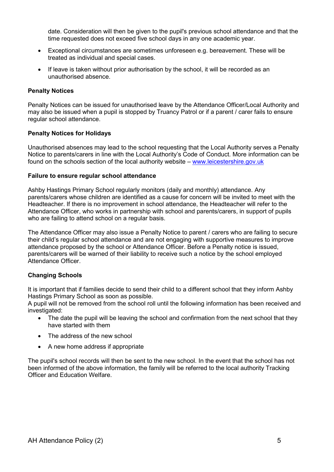date. Consideration will then be given to the pupil's previous school attendance and that the time requested does not exceed five school days in any one academic year.

- Exceptional circumstances are sometimes unforeseen e.g. bereavement. These will be treated as individual and special cases.
- If leave is taken without prior authorisation by the school, it will be recorded as an unauthorised absence.

#### Penalty Notices

Penalty Notices can be issued for unauthorised leave by the Attendance Officer/Local Authority and may also be issued when a pupil is stopped by Truancy Patrol or if a parent / carer fails to ensure regular school attendance.

#### Penalty Notices for Holidays

Unauthorised absences may lead to the school requesting that the Local Authority serves a Penalty Notice to parents/carers in line with the Local Authority's Code of Conduct. More information can be found on the schools section of the local authority website – www.leicestershire.gov.uk

#### Failure to ensure regular school attendance

Ashby Hastings Primary School regularly monitors (daily and monthly) attendance. Any parents/carers whose children are identified as a cause for concern will be invited to meet with the Headteacher. If there is no improvement in school attendance, the Headteacher will refer to the Attendance Officer, who works in partnership with school and parents/carers, in support of pupils who are failing to attend school on a regular basis.

The Attendance Officer may also issue a Penalty Notice to parent / carers who are failing to secure their child's regular school attendance and are not engaging with supportive measures to improve attendance proposed by the school or Attendance Officer. Before a Penalty notice is issued, parents/carers will be warned of their liability to receive such a notice by the school employed Attendance Officer.

#### Changing Schools

It is important that if families decide to send their child to a different school that they inform Ashby Hastings Primary School as soon as possible.

A pupil will not be removed from the school roll until the following information has been received and investigated:

- The date the pupil will be leaving the school and confirmation from the next school that they have started with them
- The address of the new school
- A new home address if appropriate

The pupil's school records will then be sent to the new school. In the event that the school has not been informed of the above information, the family will be referred to the local authority Tracking Officer and Education Welfare.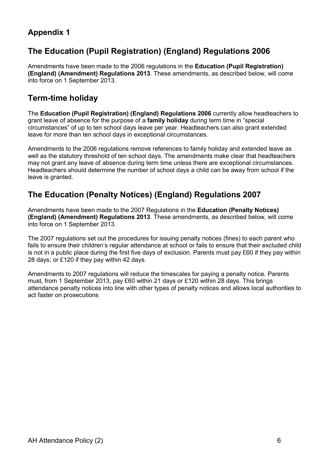### Appendix 1

## The Education (Pupil Registration) (England) Regulations 2006

Amendments have been made to the 2006 regulations in the Education (Pupil Registration) (England) (Amendment) Regulations 2013. These amendments, as described below, will come into force on 1 September 2013.

## Term-time holiday

The Education (Pupil Registration) (England) Regulations 2006 currently allow headteachers to grant leave of absence for the purpose of a family holiday during term time in "special circumstances" of up to ten school days leave per year. Headteachers can also grant extended leave for more than ten school days in exceptional circumstances.

Amendments to the 2006 regulations remove references to family holiday and extended leave as well as the statutory threshold of ten school days. The amendments make clear that headteachers may not grant any leave of absence during term time unless there are exceptional circumstances. Headteachers should determine the number of school days a child can be away from school if the leave is granted.

## The Education (Penalty Notices) (England) Regulations 2007

Amendments have been made to the 2007 Regulations in the Education (Penalty Notices) (England) (Amendment) Regulations 2013. These amendments, as described below, will come into force on 1 September 2013.

The 2007 regulations set out the procedures for issuing penalty notices (fines) to each parent who fails to ensure their children's regular attendance at school or fails to ensure that their excluded child is not in a public place during the first five days of exclusion. Parents must pay £60 if they pay within 28 days; or £120 if they pay within 42 days.

Amendments to 2007 regulations will reduce the timescales for paying a penalty notice. Parents must, from 1 September 2013, pay £60 within 21 days or £120 within 28 days. This brings attendance penalty notices into line with other types of penalty notices and allows local authorities to act faster on prosecutions